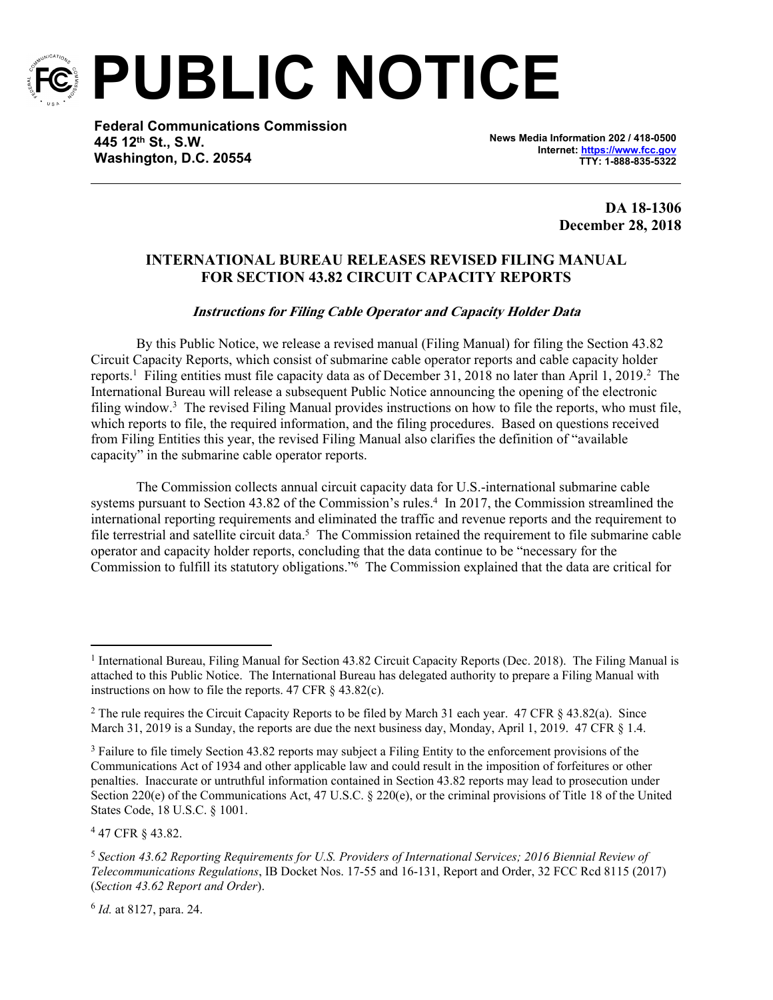

**PUBLIC NOTICE**

**Federal Communications Commission 445 12th St., S.W. Washington, D.C. 20554**

**News Media Information 202 / 418-0500 Internet:<https://www.fcc.gov> TTY: 1-888-835-5322**

> **DA 18-1306 December 28, 2018**

## **INTERNATIONAL BUREAU RELEASES REVISED FILING MANUAL FOR SECTION 43.82 CIRCUIT CAPACITY REPORTS**

## *Instructions for Filing Cable Operator and Capacity Holder Data*

By this Public Notice, we release a revised manual (Filing Manual) for filing the Section 43.82 Circuit Capacity Reports, which consist of submarine cable operator reports and cable capacity holder reports.<sup>1</sup> Filing entities must file capacity data as of December 31, 2018 no later than April 1, 2019.<sup>2</sup> The International Bureau will release a subsequent Public Notice announcing the opening of the electronic filing window.<sup>3</sup> The revised Filing Manual provides instructions on how to file the reports, who must file, which reports to file, the required information, and the filing procedures. Based on questions received from Filing Entities this year, the revised Filing Manual also clarifies the definition of "available capacity" in the submarine cable operator reports.

The Commission collects annual circuit capacity data for U.S.-international submarine cable systems pursuant to Section 43.82 of the Commission's rules.<sup>4</sup> In 2017, the Commission streamlined the international reporting requirements and eliminated the traffic and revenue reports and the requirement to file terrestrial and satellite circuit data.<sup>5</sup> The Commission retained the requirement to file submarine cable operator and capacity holder reports, concluding that the data continue to be "necessary for the Commission to fulfill its statutory obligations."<sup>6</sup> The Commission explained that the data are critical for

4 47 CFR § 43.82.

<sup>&</sup>lt;sup>1</sup> International Bureau, Filing Manual for Section 43.82 Circuit Capacity Reports (Dec. 2018). The Filing Manual is attached to this Public Notice. The International Bureau has delegated authority to prepare a Filing Manual with instructions on how to file the reports.  $47 \text{ CFR} \& 43.82(c)$ .

<sup>2</sup> The rule requires the Circuit Capacity Reports to be filed by March 31 each year. 47 CFR § 43.82(a). Since March 31, 2019 is a Sunday, the reports are due the next business day, Monday, April 1, 2019. 47 CFR § 1.4.

<sup>&</sup>lt;sup>3</sup> Failure to file timely Section 43.82 reports may subject a Filing Entity to the enforcement provisions of the Communications Act of 1934 and other applicable law and could result in the imposition of forfeitures or other penalties. Inaccurate or untruthful information contained in Section 43.82 reports may lead to prosecution under Section 220(e) of the Communications Act, 47 U.S.C. § 220(e), or the criminal provisions of Title 18 of the United States Code, 18 U.S.C. § 1001.

<sup>5</sup> *Section 43.62 Reporting Requirements for U.S. Providers of International Services; 2016 Biennial Review of Telecommunications Regulations*, IB Docket Nos. 17-55 and 16-131, Report and Order, 32 FCC Rcd 8115 (2017) (*Section 43.62 Report and Order*).

<sup>6</sup> *Id.* at 8127, para. 24.